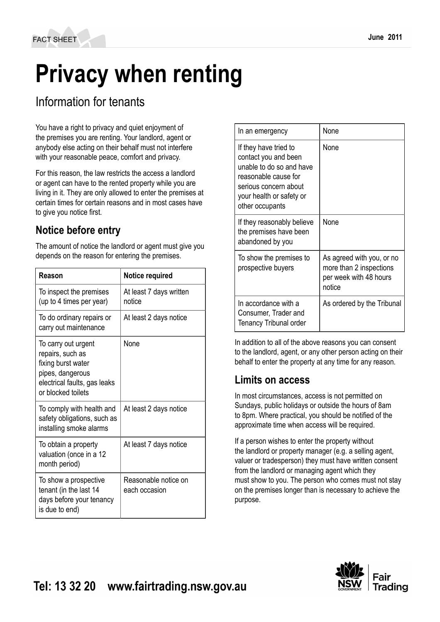# **Privacy when renting**

# Information for tenants

You have a right to privacy and quiet enjoyment of the premises you are renting. Your landlord, agent or anybody else acting on their behalf must not interfere with your reasonable peace, comfort and privacy.

For this reason, the law restricts the access a landlord or agent can have to the rented property while you are living in it. They are only allowed to enter the premises at certain times for certain reasons and in most cases have to give you notice first.

# **Notice before entry**

The amount of notice the landlord or agent must give you depends on the reason for entering the premises.

| Reason                                                                                                                                  | <b>Notice required</b>                |
|-----------------------------------------------------------------------------------------------------------------------------------------|---------------------------------------|
| To inspect the premises<br>(up to 4 times per year)                                                                                     | At least 7 days written<br>notice     |
| To do ordinary repairs or<br>carry out maintenance                                                                                      | At least 2 days notice                |
| To carry out urgent<br>repairs, such as<br>fixing burst water<br>pipes, dangerous<br>electrical faults, gas leaks<br>or blocked toilets | None                                  |
| To comply with health and<br>safety obligations, such as<br>installing smoke alarms                                                     | At least 2 days notice                |
| To obtain a property<br>valuation (once in a 12<br>month period)                                                                        | At least 7 days notice                |
| To show a prospective<br>tenant (in the last 14<br>days before your tenancy<br>is due to end)                                           | Reasonable notice on<br>each occasion |

| In an emergency                                                                                                                                                           | None                                                                                     |
|---------------------------------------------------------------------------------------------------------------------------------------------------------------------------|------------------------------------------------------------------------------------------|
| If they have tried to<br>contact you and been<br>unable to do so and have<br>reasonable cause for<br>serious concern about<br>your health or safety or<br>other occupants | None                                                                                     |
| If they reasonably believe<br>the premises have been<br>abandoned by you                                                                                                  | None                                                                                     |
| To show the premises to<br>prospective buyers                                                                                                                             | As agreed with you, or no<br>more than 2 inspections<br>per week with 48 hours<br>notice |
| In accordance with a<br>Consumer, Trader and<br><b>Tenancy Tribunal order</b>                                                                                             | As ordered by the Tribunal                                                               |

In addition to all of the above reasons you can consent to the landlord, agent, or any other person acting on their behalf to enter the property at any time for any reason.

## **Limits on access**

In most circumstances, access is not permitted on Sundays, public holidays or outside the hours of 8am to 8pm. Where practical, you should be notified of the approximate time when access will be required.

If a person wishes to enter the property without the landlord or property manager (e.g. a selling agent, valuer or tradesperson) they must have written consent from the landlord or managing agent which they must show to you. The person who comes must not stay on the premises longer than is necessary to achieve the purpose.